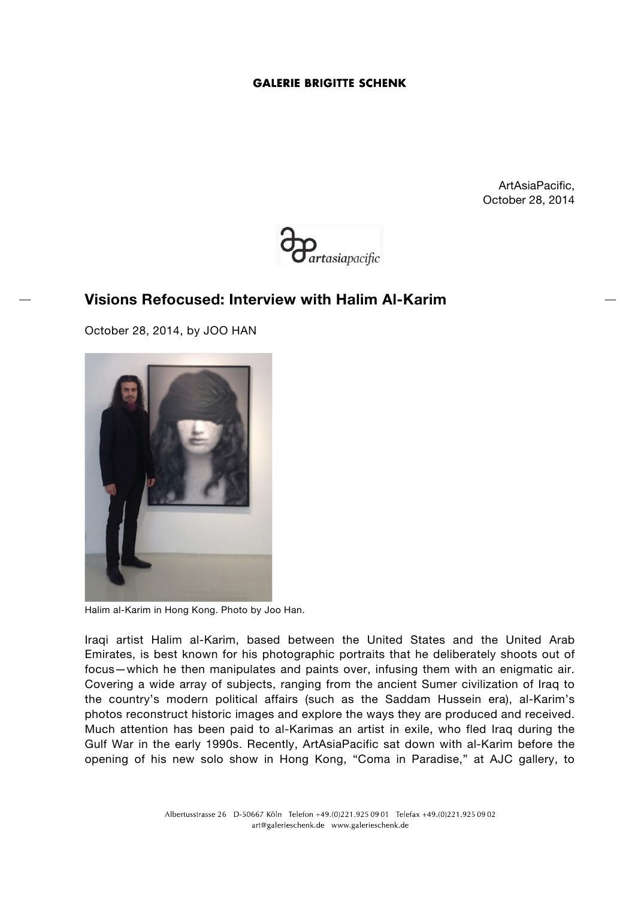ArtAsiaPacific, October 28, 2014



# **Visions Refocused: Interview with Halim Al-Karim**

October 28, 2014, by JOO HAN



Halim al-Karim in Hong Kong. Photo by Joo Han.

Iraqi artist Halim al-Karim, based between the United States and the United Arab Emirates, is best known for his photographic portraits that he deliberately shoots out of focus—which he then manipulates and paints over, infusing them with an enigmatic air. Covering a wide array of subjects, ranging from the ancient Sumer civilization of Iraq to the country's modern political affairs (such as the Saddam Hussein era), al-Karim's photos reconstruct historic images and explore the ways they are produced and received. Much attention has been paid to al-Karimas an artist in exile, who fled Iraq during the Gulf War in the early 1990s. Recently, ArtAsiaPacific sat down with al-Karim before the opening of his new solo show in Hong Kong, "Coma in Paradise," at AJC gallery, to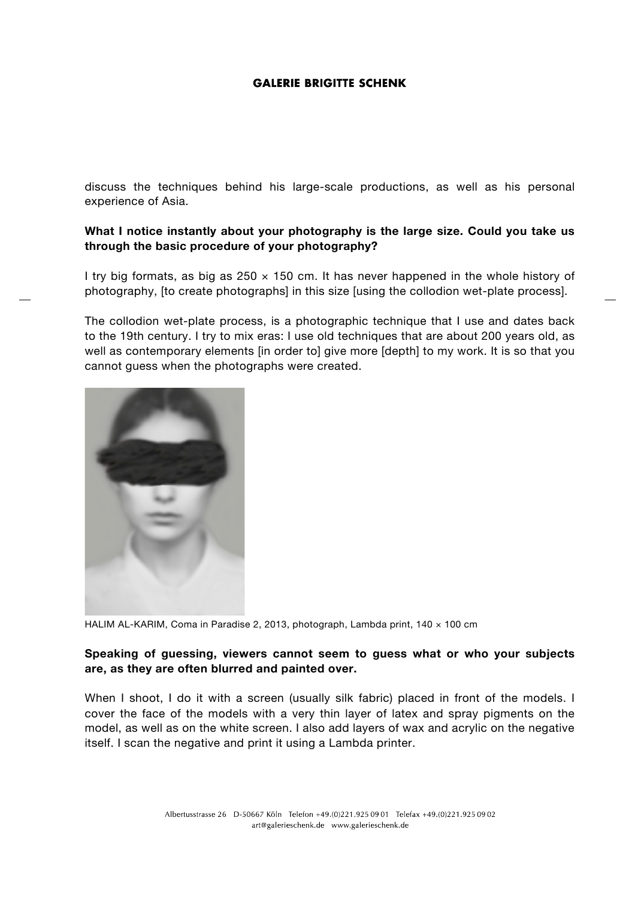discuss the techniques behind his large-scale productions, as well as his personal experience of Asia.

# **What I notice instantly about your photography is the large size. Could you take us through the basic procedure of your photography?**

I try big formats, as big as  $250 \times 150$  cm. It has never happened in the whole history of photography, [to create photographs] in this size [using the collodion wet-plate process].

The collodion wet-plate process, is a photographic technique that I use and dates back to the 19th century. I try to mix eras: I use old techniques that are about 200 years old, as well as contemporary elements [in order to] give more [depth] to my work. It is so that you cannot guess when the photographs were created.



HALIM AL-KARIM, Coma in Paradise 2, 2013, photograph, Lambda print, 140 x 100 cm

## **Speaking of guessing, viewers cannot seem to guess what or who your subjects are, as they are often blurred and painted over.**

When I shoot, I do it with a screen (usually silk fabric) placed in front of the models. I cover the face of the models with a very thin layer of latex and spray pigments on the model, as well as on the white screen. I also add layers of wax and acrylic on the negative itself. I scan the negative and print it using a Lambda printer.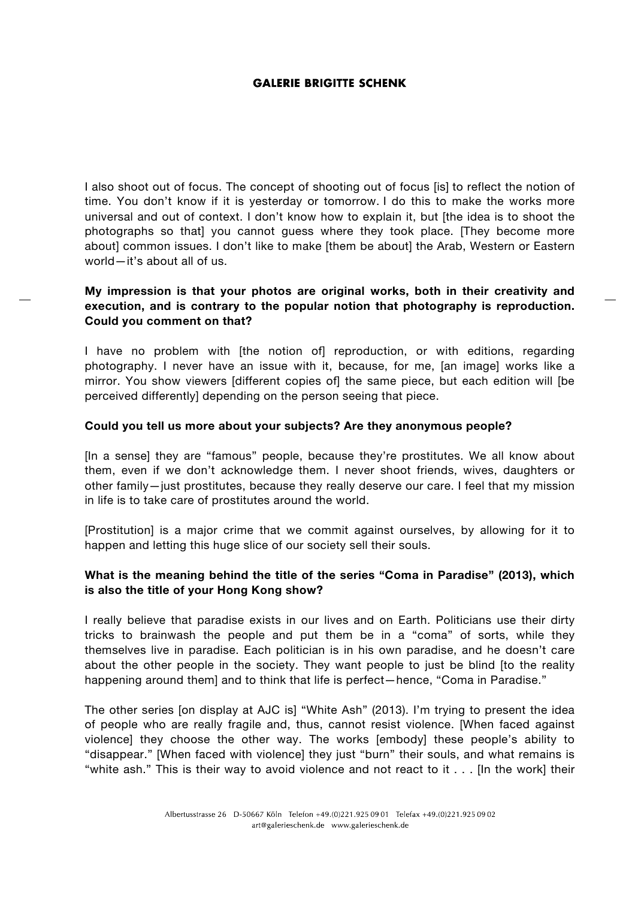I also shoot out of focus. The concept of shooting out of focus [is] to reflect the notion of time. You don't know if it is yesterday or tomorrow. I do this to make the works more universal and out of context. I don't know how to explain it, but [the idea is to shoot the photographs so that] you cannot guess where they took place. [They become more about] common issues. I don't like to make [them be about] the Arab, Western or Eastern world—it's about all of us.

# **My impression is that your photos are original works, both in their creativity and execution, and is contrary to the popular notion that photography is reproduction. Could you comment on that?**

I have no problem with [the notion of] reproduction, or with editions, regarding photography. I never have an issue with it, because, for me, [an image] works like a mirror. You show viewers [different copies of] the same piece, but each edition will [be perceived differently] depending on the person seeing that piece.

#### **Could you tell us more about your subjects? Are they anonymous people?**

[In a sense] they are "famous" people, because they're prostitutes. We all know about them, even if we don't acknowledge them. I never shoot friends, wives, daughters or other family—just prostitutes, because they really deserve our care. I feel that my mission in life is to take care of prostitutes around the world.

[Prostitution] is a major crime that we commit against ourselves, by allowing for it to happen and letting this huge slice of our society sell their souls.

## **What is the meaning behind the title of the series "Coma in Paradise" (2013), which is also the title of your Hong Kong show?**

I really believe that paradise exists in our lives and on Earth. Politicians use their dirty tricks to brainwash the people and put them be in a "coma" of sorts, while they themselves live in paradise. Each politician is in his own paradise, and he doesn't care about the other people in the society. They want people to just be blind [to the reality happening around them] and to think that life is perfect—hence, "Coma in Paradise."

The other series [on display at AJC is] "White Ash" (2013). I'm trying to present the idea of people who are really fragile and, thus, cannot resist violence. [When faced against violence] they choose the other way. The works [embody] these people's ability to "disappear." [When faced with violence] they just "burn" their souls, and what remains is "white ash." This is their way to avoid violence and not react to it . . . [In the work] their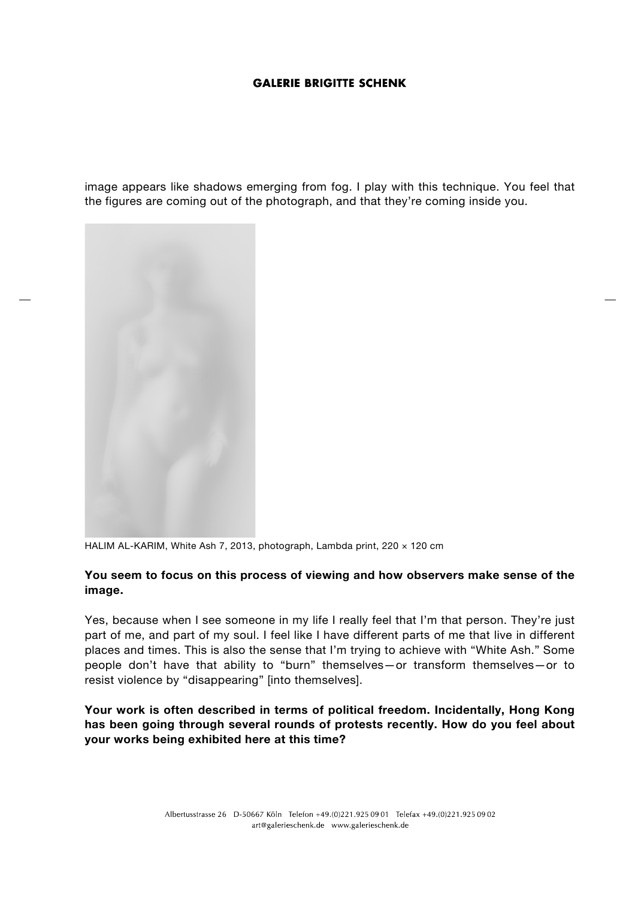image appears like shadows emerging from fog. I play with this technique. You feel that the figures are coming out of the photograph, and that they're coming inside you.



HALIM AL-KARIM, White Ash 7, 2013, photograph, Lambda print, 220 x 120 cm

#### **You seem to focus on this process of viewing and how observers make sense of the image.**

Yes, because when I see someone in my life I really feel that I'm that person. They're just part of me, and part of my soul. I feel like I have different parts of me that live in different places and times. This is also the sense that I'm trying to achieve with "White Ash." Some people don't have that ability to "burn" themselves—or transform themselves—or to resist violence by "disappearing" [into themselves].

**Your work is often described in terms of political freedom. Incidentally, Hong Kong has been going through several rounds of protests recently. How do you feel about your works being exhibited here at this time?**